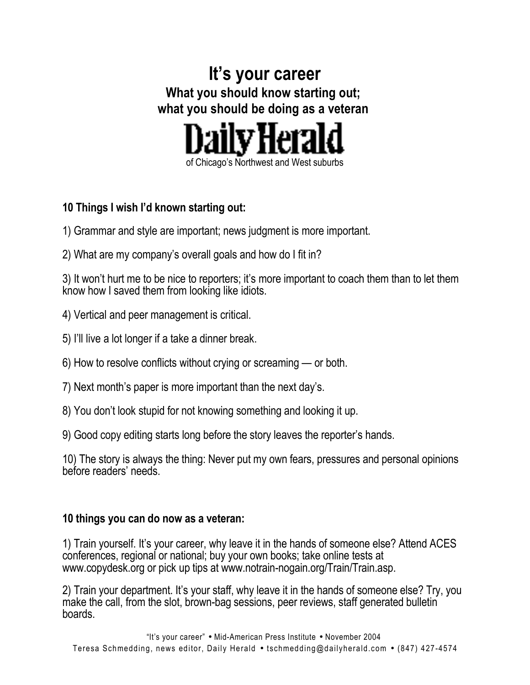# **It's your career What you should know starting out; what you should be doing as a veteran**



### **10 Things I wish I'd known starting out:**

- 1) Grammar and style are important; news judgment is more important.
- 2) What are my company's overall goals and how do I fit in?

3) It won't hurt me to be nice to reporters; it's more important to coach them than to let them know how I saved them from looking like idiots.

- 4) Vertical and peer management is critical.
- 5) I'll live a lot longer if a take a dinner break.
- 6) How to resolve conflicts without crying or screaming or both.
- 7) Next month's paper is more important than the next day's.
- 8) You don't look stupid for not knowing something and looking it up.
- 9) Good copy editing starts long before the story leaves the reporter's hands.

10) The story is always the thing: Never put my own fears, pressures and personal opinions before readers' needs.

### **10 things you can do now as a veteran:**

1) Train yourself. It's your career, why leave it in the hands of someone else? Attend ACES conferences, regional or national; buy your own books; take online tests at www.copydesk.org or pick up tips at www.notrain-nogain.org/Train/Train.asp.

2) Train your department. It's your staff, why leave it in the hands of someone else? Try, you make the call, from the slot, brown-bag sessions, peer reviews, staff generated bulletin boards.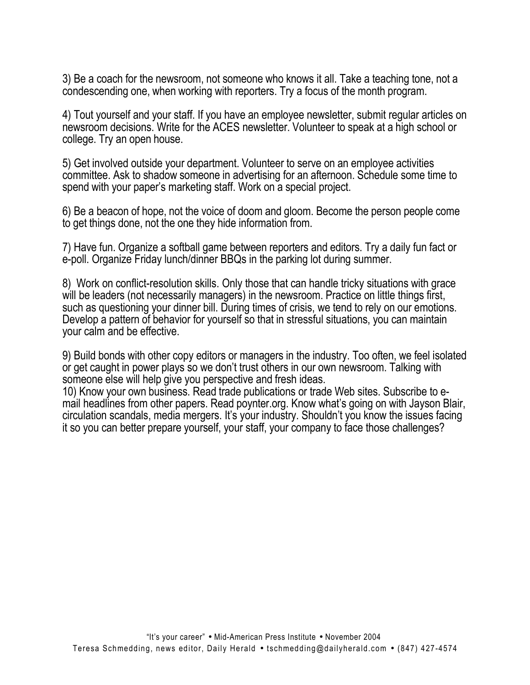3) Be a coach for the newsroom, not someone who knows it all. Take a teaching tone, not a condescending one, when working with reporters. Try a focus of the month program.

4) Tout yourself and your staff. If you have an employee newsletter, submit regular articles on newsroom decisions. Write for the ACES newsletter. Volunteer to speak at a high school or college. Try an open house.

5) Get involved outside your department. Volunteer to serve on an employee activities committee. Ask to shadow someone in advertising for an afternoon. Schedule some time to spend with your paper's marketing staff. Work on a special project.

6) Be a beacon of hope, not the voice of doom and gloom. Become the person people come to get things done, not the one they hide information from.

7) Have fun. Organize a softball game between reporters and editors. Try a daily fun fact or e-poll. Organize Friday lunch/dinner BBQs in the parking lot during summer.

8) Work on conflict-resolution skills. Only those that can handle tricky situations with grace will be leaders (not necessarily managers) in the newsroom. Practice on little things first, such as questioning your dinner bill. During times of crisis, we tend to rely on our emotions. Develop a pattern of behavior for yourself so that in stressful situations, you can maintain your calm and be effective.

9) Build bonds with other copy editors or managers in the industry. Too often, we feel isolated or get caught in power plays so we don't trust others in our own newsroom. Talking with someone else will help give you perspective and fresh ideas.

10) Know your own business. Read trade publications or trade Web sites. Subscribe to email headlines from other papers. Read poynter.org. Know what's going on with Jayson Blair, circulation scandals, media mergers. It's your industry. Shouldn't you know the issues facing it so you can better prepare yourself, your staff, your company to face those challenges?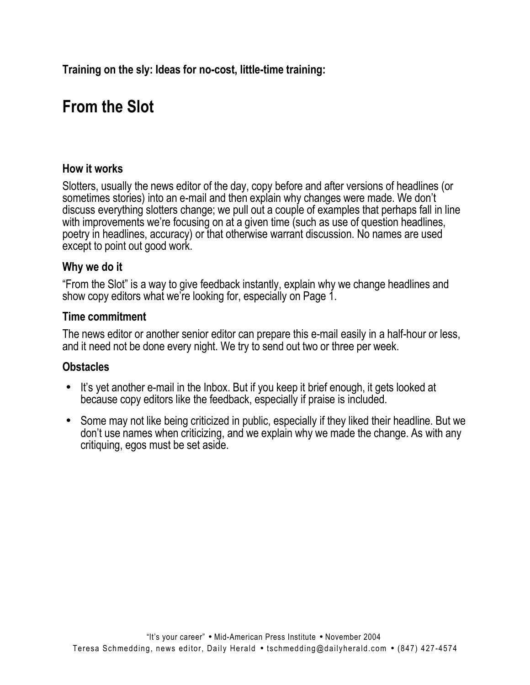**Training on the sly: Ideas for no-cost, little-time training:**

# **From the Slot**

### **How it works**

Slotters, usually the news editor of the day, copy before and after versions of headlines (or sometimes stories) into an e-mail and then explain why changes were made. We don't discuss everything slotters change; we pull out a couple of examples that perhaps fall in line with improvements we're focusing on at a given time (such as use of question headlines, poetry in headlines, accuracy) or that otherwise warrant discussion. No names are used except to point out good work.

#### **Why we do it**

"From the Slot" is a way to give feedback instantly, explain why we change headlines and show copy editors what we're looking for, especially on Page 1.

#### **Time commitment**

The news editor or another senior editor can prepare this e-mail easily in a half-hour or less, and it need not be done every night. We try to send out two or three per week.

### **Obstacles**

- It's yet another e-mail in the Inbox. But if you keep it brief enough, it gets looked at because copy editors like the feedback, especially if praise is included.
- Some may not like being criticized in public, especially if they liked their headline. But we don't use names when criticizing, and we explain why we made the change. As with any critiquing, egos must be set aside.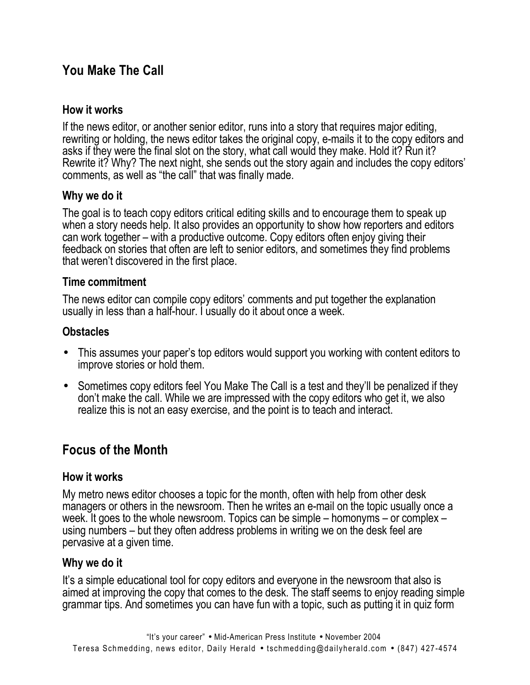# **You Make The Call**

### **How it works**

If the news editor, or another senior editor, runs into a story that requires major editing, rewriting or holding, the news editor takes the original copy, e-mails it to the copy editors and asks if they were the final slot on the story, what call would they make. Hold it? Run it? Rewrite it? Why? The next night, she sends out the story again and includes the copy editors' comments, as well as "the call" that was finally made.

### **Why we do it**

The goal is to teach copy editors critical editing skills and to encourage them to speak up when a story needs help. It also provides an opportunity to show how reporters and editors can work together – with a productive outcome. Copy editors often enjoy giving their feedback on stories that often are left to senior editors, and sometimes they find problems that weren't discovered in the first place.

### **Time commitment**

The news editor can compile copy editors' comments and put together the explanation usually in less than a half-hour. I usually do it about once a week.

### **Obstacles**

- This assumes your paper's top editors would support you working with content editors to improve stories or hold them.
- Sometimes copy editors feel You Make The Call is a test and they'll be penalized if they don't make the call. While we are impressed with the copy editors who get it, we also realize this is not an easy exercise, and the point is to teach and interact.

# **Focus of the Month**

### **How it works**

My metro news editor chooses a topic for the month, often with help from other desk managers or others in the newsroom. Then he writes an e-mail on the topic usually once a week. It goes to the whole newsroom. Topics can be simple – homonyms – or complex – using numbers – but they often address problems in writing we on the desk feel are pervasive at a given time.

### **Why we do it**

It's a simple educational tool for copy editors and everyone in the newsroom that also is aimed at improving the copy that comes to the desk. The staff seems to enjoy reading simple grammar tips. And sometimes you can have fun with a topic, such as putting it in quiz form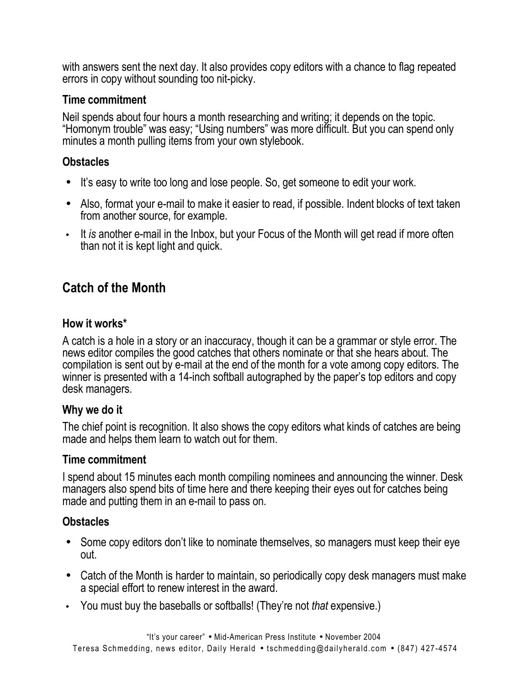with answers sent the next day. It also provides copy editors with a chance to flag repeated errors in copy without sounding too nit-picky.

#### **Time commitment**

Neil spends about four hours a month researching and writing; it depends on the topic. "Homonym trouble" was easy; "Using numbers" was more difficult. But you can spend only minutes a month pulling items from your own stylebook.

### **Obstacles**

- It's easy to write too long and lose people. So, get someone to edit your work.
- Also, format your e-mail to make it easier to read, if possible. Indent blocks of text taken from another source, for example.
- It *is* another e-mail in the Inbox, but your Focus of the Month will get read if more often than not it is kept light and quick.

# **Catch of the Month**

### **How it works\***

A catch is a hole in a story or an inaccuracy, though it can be a grammar or style error. The news editor compiles the good catches that others nominate or that she hears about. The compilation is sent out by e-mail at the end of the month for a vote among copy editors. The winner is presented with a 14-inch softball autographed by the paper's top editors and copy desk managers.

### **Why we do it**

The chief point is recognition. It also shows the copy editors what kinds of catches are being made and helps them learn to watch out for them.

### **Time commitment**

I spend about 15 minutes each month compiling nominees and announcing the winner. Desk managers also spend bits of time here and there keeping their eyes out for catches being made and putting them in an e-mail to pass on.

### **Obstacles**

- Some copy editors don't like to nominate themselves, so managers must keep their eye out.
- Catch of the Month is harder to maintain, so periodically copy desk managers must make a special effort to renew interest in the award.
- You must buy the baseballs or softballs! (They're not *that* expensive.)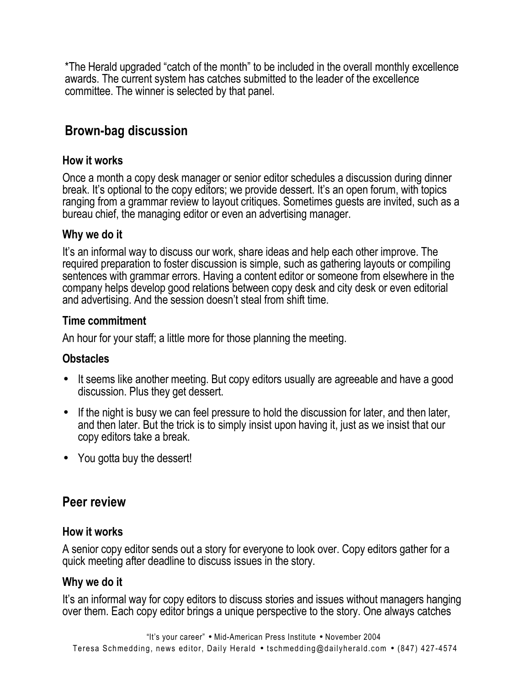\*The Herald upgraded "catch of the month" to be included in the overall monthly excellence awards. The current system has catches submitted to the leader of the excellence committee. The winner is selected by that panel.

# **Brown-bag discussion**

### **How it works**

Once a month a copy desk manager or senior editor schedules a discussion during dinner break. It's optional to the copy editors; we provide dessert. It's an open forum, with topics ranging from a grammar review to layout critiques. Sometimes guests are invited, such as a bureau chief, the managing editor or even an advertising manager.

#### **Why we do it**

It's an informal way to discuss our work, share ideas and help each other improve. The required preparation to foster discussion is simple, such as gathering layouts or compiling sentences with grammar errors. Having a content editor or someone from elsewhere in the company helps develop good relations between copy desk and city desk or even editorial and advertising. And the session doesn't steal from shift time.

### **Time commitment**

An hour for your staff; a little more for those planning the meeting.

### **Obstacles**

- It seems like another meeting. But copy editors usually are agreeable and have a good discussion. Plus they get dessert.
- If the night is busy we can feel pressure to hold the discussion for later, and then later, and then later. But the trick is to simply insist upon having it, just as we insist that our copy editors take a break.
- You gotta buy the dessert!

### **Peer review**

#### **How it works**

A senior copy editor sends out a story for everyone to look over. Copy editors gather for a quick meeting after deadline to discuss issues in the story.

### **Why we do it**

It's an informal way for copy editors to discuss stories and issues without managers hanging over them. Each copy editor brings a unique perspective to the story. One always catches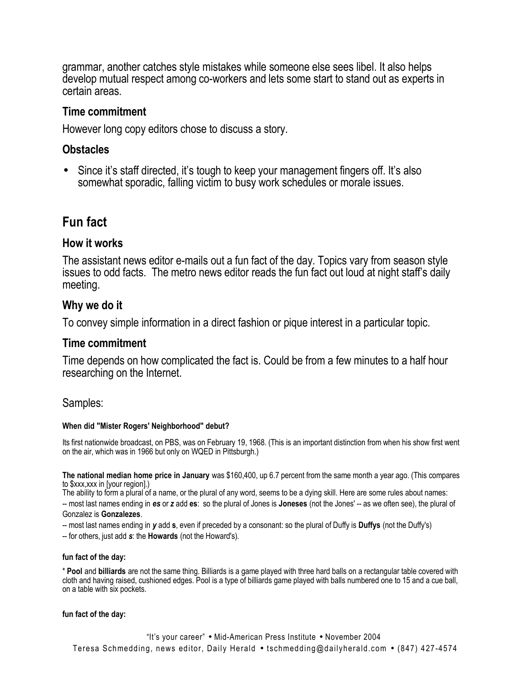grammar, another catches style mistakes while someone else sees libel. It also helps develop mutual respect among co-workers and lets some start to stand out as experts in certain areas.

#### **Time commitment**

However long copy editors chose to discuss a story.

#### **Obstacles**

• Since it's staff directed, it's tough to keep your management fingers off. It's also somewhat sporadic, falling victim to busy work schedules or morale issues.

### **Fun fact**

#### **How it works**

The assistant news editor e-mails out a fun fact of the day. Topics vary from season style issues to odd facts. The metro news editor reads the fun fact out loud at night staff's daily meeting.

#### **Why we do it**

To convey simple information in a direct fashion or pique interest in a particular topic.

#### **Time commitment**

Time depends on how complicated the fact is. Could be from a few minutes to a half hour researching on the Internet.

#### Samples:

#### **When did "Mister Rogers' Neighborhood" debut?**

Its first nationwide broadcast, on PBS, was on February 19, 1968. (This is an important distinction from when his show first went on the air, which was in 1966 but only on WQED in Pittsburgh.)

**The national median home price in January** was \$160,400, up 6.7 percent from the same month a year ago. (This compares to \$xxx,xxx in [your region].)

The ability to form a plural of a name, or the plural of any word, seems to be a dying skill. Here are some rules about names: -- most last names ending in *es* or *z* add **es**: so the plural of Jones is **Joneses** (not the Jones' -- as we often see), the plural of Gonzalez is **Gonzalezes**.

-- most last names ending in *y* add **s**, even if preceded by a consonant: so the plural of Duffy is **Duffys** (not the Duffy's) -- for others, just add *s*: the **Howards** (not the Howard's).

#### **fun fact of the day:**

\* **Pool** and **billiards** are not the same thing. Billiards is a game played with three hard balls on a rectangular table covered with cloth and having raised, cushioned edges. Pool is a type of billiards game played with balls numbered one to 15 and a cue ball, on a table with six pockets.

#### **fun fact of the day:**